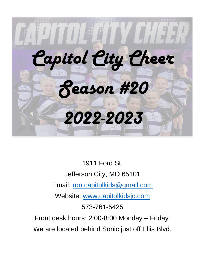

1911 Ford St. Jefferson City, MO 65101 Email: [ron.capitolkids@gmail.com](mailto:ron.capitolkids@gmail.com) Website: [www.capitolkidsjc.com](http://www.capitolkidsjc.com/) 573-761-5425 Front desk hours: 2:00-8:00 Monday – Friday. We are located behind Sonic just off Ellis Blvd.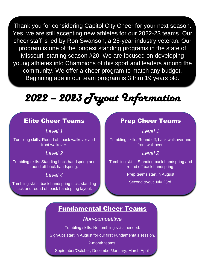Thank you for considering Capitol City Cheer for your next season. Yes, we are still accepting new athletes for our 2022-23 teams. Our cheer staff is led by Ron Swanson, a 25-year industry veteran. Our program is one of the longest standing programs in the state of Missouri, starting season #20! We are focused on developing young athletes into Champions of this sport and leaders among the community. We offer a cheer program to match any budget. Beginning age in our team program is 3 thru 19 years old.

# *2022 – 2023 Tryout Information*

### Elite Cheer Teams

*Level 1*

Tumbling skills: Round off, back walkover and front walkover.

#### *Level 2*

Tumbling skills: Standing back handspring and round off back handspring.

#### *Level 4*

Tumbling skills: back handspring tuck, standing tuck and round off back handspring layout.

### Prep Cheer Teams

*Level 1*

Tumbling skills: Round off, back walkover and front walkover.

#### *Level 2*

Tumbling skills: Standing back handspring and round off back handspring.

Prep teams start in August

Second tryout July 23rd.

### Fundamental Cheer Teams

#### *Non-competitive*

Tumbling skills: No tumbling skills needed.

Sign-ups start in August for our first Fundamentals session.

2-month teams,

September/October, December/January, March April.